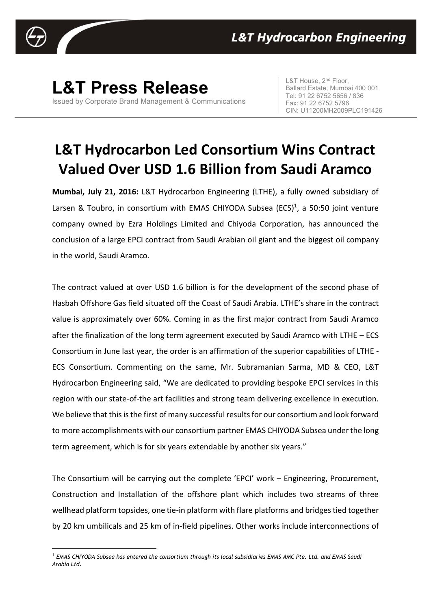

<u>.</u>

## **L&T Press Release**

Issued by Corporate Brand Management & Communications

L&T House, 2<sup>nd</sup> Floor, Ballard Estate, Mumbai 400 001 Tel: 91 22 6752 5656 / 836 Fax: 91 22 6752 5796 CIN: U11200MH2009PLC191426

## **L&T Hydrocarbon Led Consortium Wins Contract Valued Over USD 1.6 Billion from Saudi Aramco**

**Mumbai, July 21, 2016:** L&T Hydrocarbon Engineering (LTHE), a fully owned subsidiary of Larsen & Toubro, in consortium with EMAS CHIYODA Subsea (ECS)<sup>1</sup>, a 50:50 joint venture company owned by Ezra Holdings Limited and Chiyoda Corporation, has announced the conclusion of a large EPCI contract from Saudi Arabian oil giant and the biggest oil company in the world, Saudi Aramco.

The contract valued at over USD 1.6 billion is for the development of the second phase of Hasbah Offshore Gas field situated off the Coast of Saudi Arabia. LTHE's share in the contract value is approximately over 60%. Coming in as the first major contract from Saudi Aramco after the finalization of the long term agreement executed by Saudi Aramco with LTHE – ECS Consortium in June last year, the order is an affirmation of the superior capabilities of LTHE - ECS Consortium. Commenting on the same, Mr. Subramanian Sarma, MD & CEO, L&T Hydrocarbon Engineering said, "We are dedicated to providing bespoke EPCI services in this region with our state-of-the art facilities and strong team delivering excellence in execution. We believe that this is the first of many successful results for our consortium and look forward to more accomplishments with our consortium partner EMAS CHIYODA Subsea under the long term agreement, which is for six years extendable by another six years."

The Consortium will be carrying out the complete 'EPCI' work – Engineering, Procurement, Construction and Installation of the offshore plant which includes two streams of three wellhead platform topsides, one tie-in platform with flare platforms and bridges tied together by 20 km umbilicals and 25 km of in-field pipelines. Other works include interconnections of

<sup>1</sup> *EMAS CHIYODA Subsea has entered the consortium through its local subsidiaries EMAS AMC Pte. Ltd. and EMAS Saudi Arabia Ltd.*